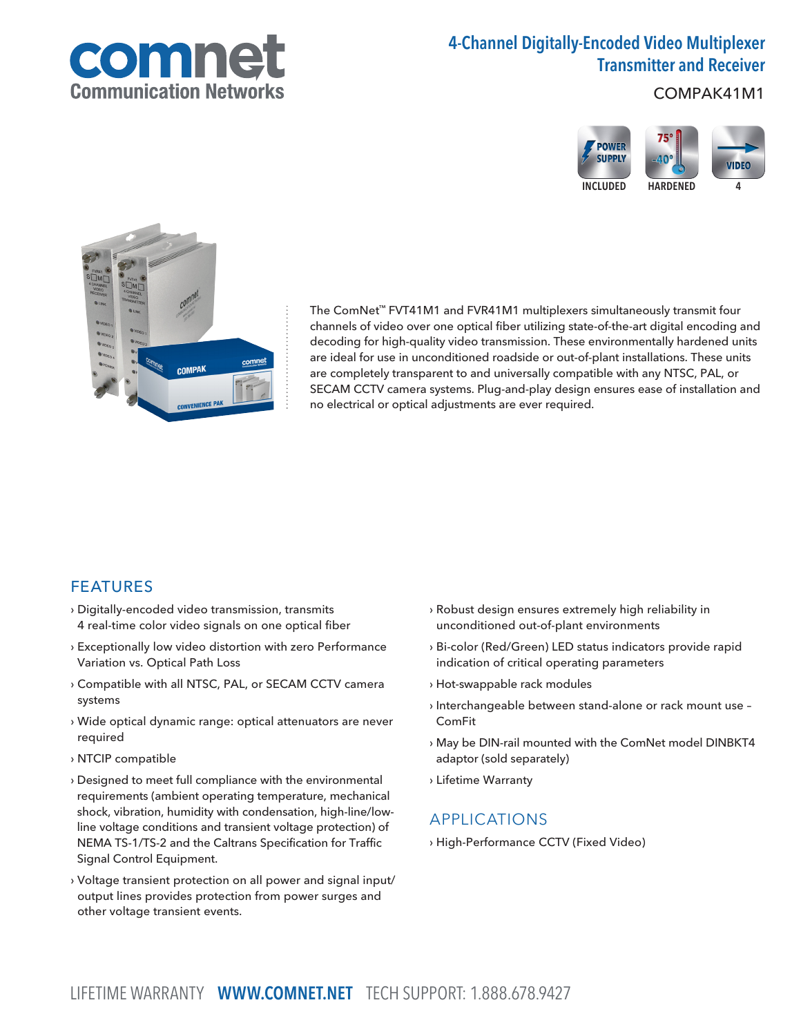

# 4-Channel Digitally-Encoded Video Multiplexer Transmitter and Receiver

COMPAK41M1





The ComNet™ FVT41M1 and FVR41M1 multiplexers simultaneously transmit four channels of video over one optical fiber utilizing state-of-the-art digital encoding and decoding for high-quality video transmission. These environmentally hardened units are ideal for use in unconditioned roadside or out-of-plant installations. These units are completely transparent to and universally compatible with any NTSC, PAL, or SECAM CCTV camera systems. Plug-and-play design ensures ease of installation and no electrical or optical adjustments are ever required.

### FEATURES

- › Digitally-encoded video transmission, transmits 4 real-time color video signals on one optical fiber
- › Exceptionally low video distortion with zero Performance Variation vs. Optical Path Loss
- › Compatible with all NTSC, PAL, or SECAM CCTV camera systems
- › Wide optical dynamic range: optical attenuators are never required
- › NTCIP compatible
- › Designed to meet full compliance with the environmental requirements (ambient operating temperature, mechanical shock, vibration, humidity with condensation, high-line/lowline voltage conditions and transient voltage protection) of NEMA TS-1/TS-2 and the Caltrans Specification for Traffic Signal Control Equipment.
- › Voltage transient protection on all power and signal input/ output lines provides protection from power surges and other voltage transient events.
- › Robust design ensures extremely high reliability in unconditioned out-of-plant environments
- › Bi-color (Red/Green) LED status indicators provide rapid indication of critical operating parameters
- › Hot-swappable rack modules
- › Interchangeable between stand-alone or rack mount use ComFit
- › May be DIN-rail mounted with the ComNet model DINBKT4 adaptor (sold separately)
- › Lifetime Warranty

### APPLICATIONS

› High-Performance CCTV (Fixed Video)